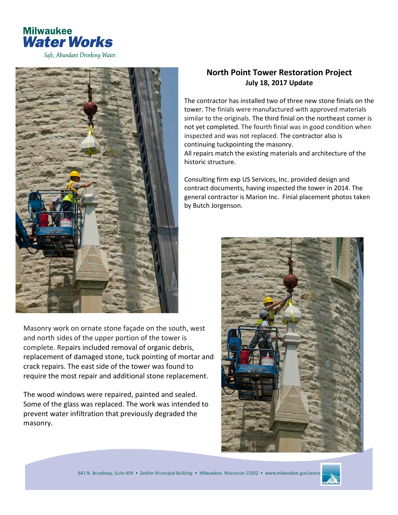

Safe, Abundant Drinking Water.



Masonry work on ornate stone façade on the south, west and north sides of the upper portion of the tower is complete. Repairs included removal of organic debris, replacement of damaged stone, tuck pointing of mortar and crack repairs. The east side of the tower was found to require the most repair and additional stone replacement.

The wood windows were repaired, painted and sealed. Some of the glass was replaced. The work was intended to prevent water infiltration that previously degraded the masonry.

## **North Point Tower Restoration Project July 18, 2017 Update**

The contractor has installed two of three new stone finials on the tower. The finials were manufactured with approved materials similar to the originals. The third finial on the northeast corner is not yet completed. The fourth finial was in good condition when inspected and was not replaced. The contractor also is continuing tuckpointing the masonry. All repairs match the existing materials and architecture of the historic structure.

Consulting firm exp US Services, Inc. provided design and contract documents, having inspected the tower in 2014. The general contractor is Marion Inc. Finial placement photos taken by Butch Jorgenson.



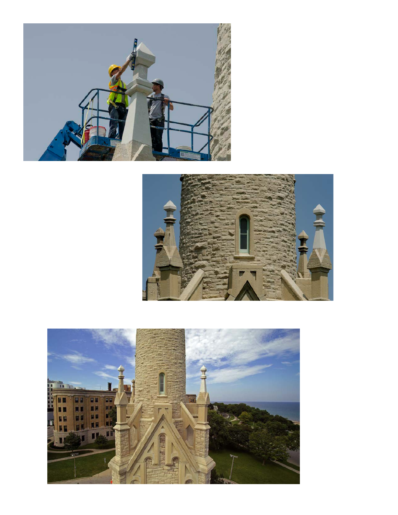



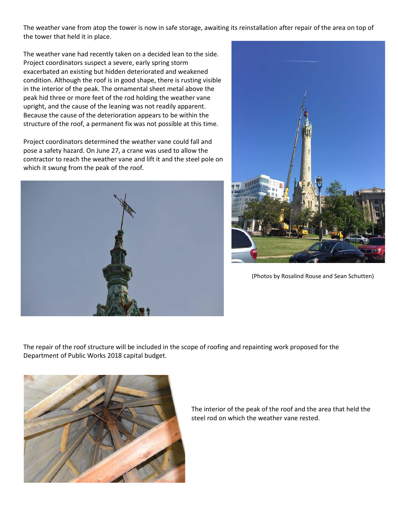The weather vane from atop the tower is now in safe storage, awaiting its reinstallation after repair of the area on top of the tower that held it in place.

The weather vane had recently taken on a decided lean to the side. Project coordinators suspect a severe, early spring storm exacerbated an existing but hidden deteriorated and weakened condition. Although the roof is in good shape, there is rusting visible in the interior of the peak. The ornamental sheet metal above the peak hid three or more feet of the rod holding the weather vane upright, and the cause of the leaning was not readily apparent. Because the cause of the deterioration appears to be within the structure of the roof, a permanent fix was not possible at this time.

Project coordinators determined the weather vane could fall and pose a safety hazard. On June 27, a crane was used to allow the contractor to reach the weather vane and lift it and the steel pole on which it swung from the peak of the roof.





(Photos by Rosalind Rouse and Sean Schutten)

The repair of the roof structure will be included in the scope of roofing and repainting work proposed for the Department of Public Works 2018 capital budget.



The interior of the peak of the roof and the area that held the steel rod on which the weather vane rested.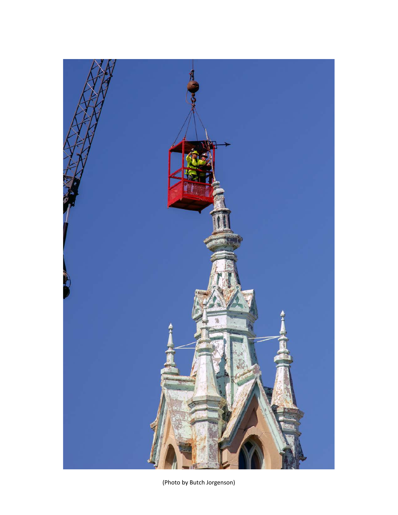

(Photo by Butch Jorgenson)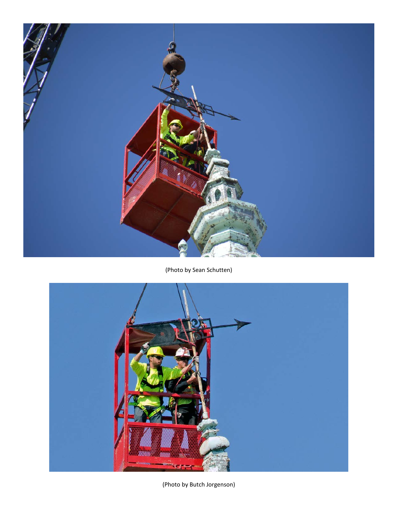

(Photo by Sean Schutten)



(Photo by Butch Jorgenson)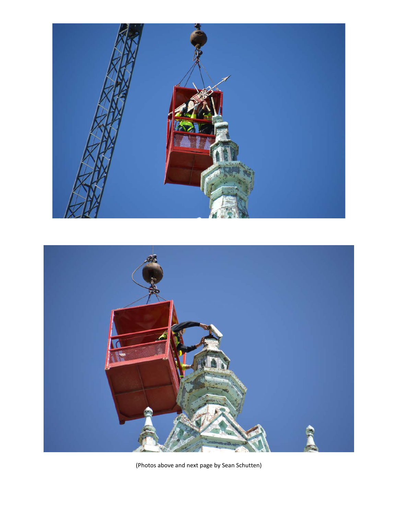



(Photos above and next page by Sean Schutten)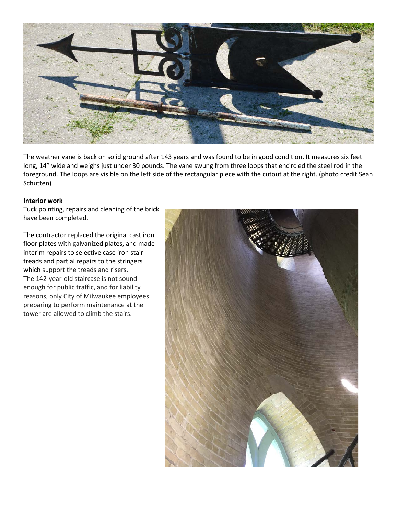

The weather vane is back on solid ground after 143 years and was found to be in good condition. It measures six feet long, 14" wide and weighs just under 30 pounds. The vane swung from three loops that encircled the steel rod in the foreground. The loops are visible on the left side of the rectangular piece with the cutout at the right. (photo credit Sean Schutten)

## **Interior work**

Tuck pointing, repairs and cleaning of the brick have been completed.

The contractor replaced the original cast iron floor plates with galvanized plates, and made interim repairs to selective case iron stair treads and partial repairs to the stringers which support the treads and risers. The 142-year-old staircase is not sound enough for public traffic, and for liability reasons, only City of Milwaukee employees preparing to perform maintenance at the tower are allowed to climb the stairs.

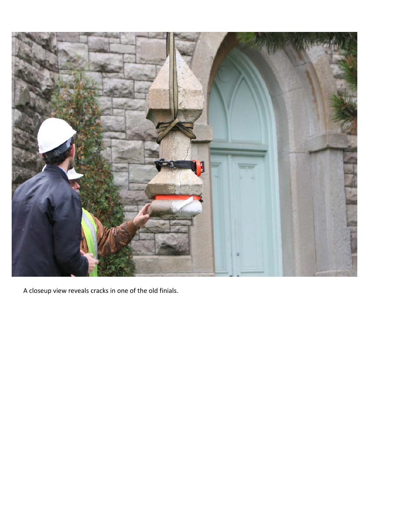

A closeup view reveals cracks in one of the old finials.